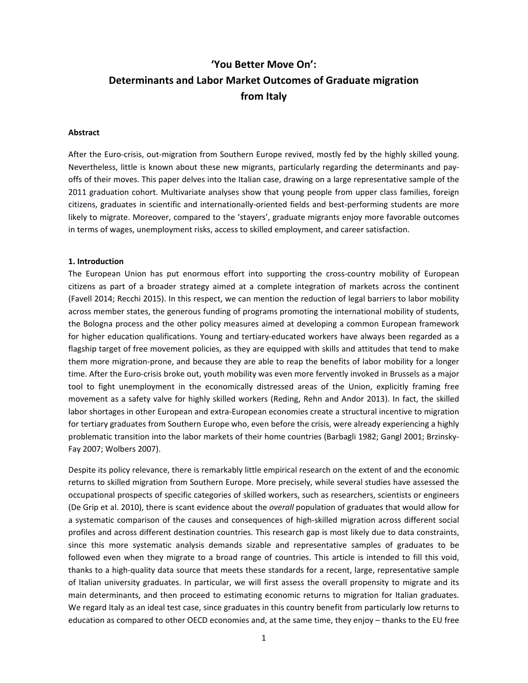# **'You Better Move On': Determinants and Labor Market Outcomes of Graduate migration from Italy**

#### **Abstract**

After the Euro-crisis, out-migration from Southern Europe revived, mostly fed by the highly skilled young. Nevertheless, little is known about these new migrants, particularly regarding the determinants and pay‐ offs of their moves. This paper delves into the Italian case, drawing on a large representative sample of the 2011 graduation cohort. Multivariate analyses show that young people from upper class families, foreign citizens, graduates in scientific and internationally‐oriented fields and best‐performing students are more likely to migrate. Moreover, compared to the 'stayers', graduate migrants enjoy more favorable outcomes in terms of wages, unemployment risks, access to skilled employment, and career satisfaction.

#### **1. Introduction**

The European Union has put enormous effort into supporting the cross-country mobility of European citizens as part of a broader strategy aimed at a complete integration of markets across the continent (Favell 2014; Recchi 2015). In this respect, we can mention the reduction of legal barriers to labor mobility across member states, the generous funding of programs promoting the international mobility of students, the Bologna process and the other policy measures aimed at developing a common European framework for higher education qualifications. Young and tertiary‐educated workers have always been regarded as a flagship target of free movement policies, as they are equipped with skills and attitudes that tend to make them more migration‐prone, and because they are able to reap the benefits of labor mobility for a longer time. After the Euro‐crisis broke out, youth mobility was even more fervently invoked in Brussels as a major tool to fight unemployment in the economically distressed areas of the Union, explicitly framing free movement as a safety valve for highly skilled workers (Reding, Rehn and Andor 2013). In fact, the skilled labor shortages in other European and extra‐European economies create a structural incentive to migration for tertiary graduates from Southern Europe who, even before the crisis, were already experiencing a highly problematic transition into the labor markets of their home countries (Barbagli 1982; Gangl 2001; Brzinsky-Fay 2007; Wolbers 2007).

Despite its policy relevance, there is remarkably little empirical research on the extent of and the economic returns to skilled migration from Southern Europe. More precisely, while several studies have assessed the occupational prospects of specific categories of skilled workers, such as researchers, scientists or engineers (De Grip et al. 2010), there is scant evidence about the *overall* population of graduates that would allow for a systematic comparison of the causes and consequences of high‐skilled migration across different social profiles and across different destination countries. This research gap is most likely due to data constraints, since this more systematic analysis demands sizable and representative samples of graduates to be followed even when they migrate to a broad range of countries. This article is intended to fill this void, thanks to a high‐quality data source that meets these standards for a recent, large, representative sample of Italian university graduates. In particular, we will first assess the overall propensity to migrate and its main determinants, and then proceed to estimating economic returns to migration for Italian graduates. We regard Italy as an ideal test case, since graduates in this country benefit from particularly low returns to education as compared to other OECD economies and, at the same time, they enjoy – thanks to the EU free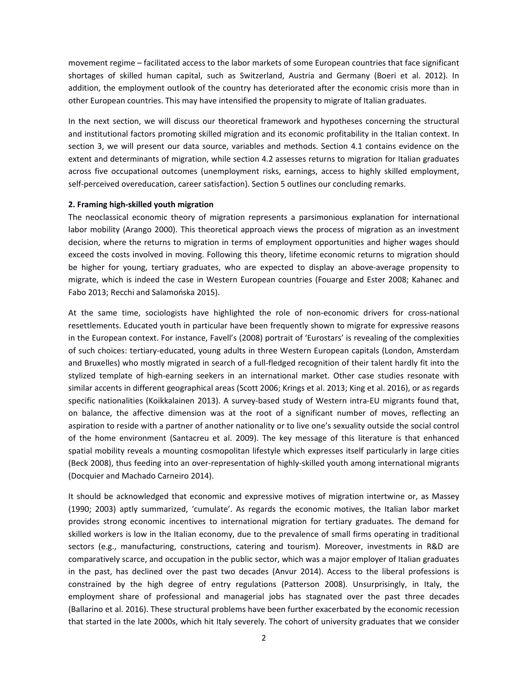movement regime – facilitated access to the labor markets of some European countries that face significant shortages of skilled human capital, such as Switzerland, Austria and Germany (Boeri et al. 2012). In addition, the employment outlook of the country has deteriorated after the economic crisis more than in other European countries. This may have intensified the propensity to migrate of Italian graduates.

In the next section, we will discuss our theoretical framework and hypotheses concerning the structural and institutional factors promoting skilled migration and its economic profitability in the Italian context. In section 3, we will present our data source, variables and methods. Section 4.1 contains evidence on the extent and determinants of migration, while section 4.2 assesses returns to migration for Italian graduates across five occupational outcomes (unemployment risks, earnings, access to highly skilled employment, self‐perceived overeducation, career satisfaction). Section 5 outlines our concluding remarks.

#### **2. Framing high‐skilled youth migration**

The neoclassical economic theory of migration represents a parsimonious explanation for international labor mobility (Arango 2000). This theoretical approach views the process of migration as an investment decision, where the returns to migration in terms of employment opportunities and higher wages should exceed the costs involved in moving. Following this theory, lifetime economic returns to migration should be higher for young, tertiary graduates, who are expected to display an above-average propensity to migrate, which is indeed the case in Western European countries (Fouarge and Ester 2008; Kahanec and Fabo 2013; Recchi and Salamońska 2015).

At the same time, sociologists have highlighted the role of non-economic drivers for cross-national resettlements. Educated youth in particular have been frequently shown to migrate for expressive reasons in the European context. For instance, Favell's (2008) portrait of 'Eurostars' is revealing of the complexities of such choices: tertiary‐educated, young adults in three Western European capitals (London, Amsterdam and Bruxelles) who mostly migrated in search of a full‐fledged recognition of their talent hardly fit into the stylized template of high-earning seekers in an international market. Other case studies resonate with similar accents in different geographical areas (Scott 2006; Krings et al. 2013; King et al. 2016), or as regards specific nationalities (Koikkalainen 2013). A survey-based study of Western intra-EU migrants found that, on balance, the affective dimension was at the root of a significant number of moves, reflecting an aspiration to reside with a partner of another nationality or to live one's sexuality outside the social control of the home environment (Santacreu et al. 2009). The key message of this literature is that enhanced spatial mobility reveals a mounting cosmopolitan lifestyle which expresses itself particularly in large cities (Beck 2008), thus feeding into an over‐representation of highly‐skilled youth among international migrants (Docquier and Machado Carneiro 2014).

It should be acknowledged that economic and expressive motives of migration intertwine or, as Massey (1990; 2003) aptly summarized, 'cumulate'. As regards the economic motives, the Italian labor market provides strong economic incentives to international migration for tertiary graduates. The demand for skilled workers is low in the Italian economy, due to the prevalence of small firms operating in traditional sectors (e.g., manufacturing, constructions, catering and tourism). Moreover, investments in R&D are comparatively scarce, and occupation in the public sector, which was a major employer of Italian graduates in the past, has declined over the past two decades (Anvur 2014). Access to the liberal professions is constrained by the high degree of entry regulations (Patterson 2008). Unsurprisingly, in Italy, the employment share of professional and managerial jobs has stagnated over the past three decades (Ballarino et al. 2016). These structural problems have been further exacerbated by the economic recession that started in the late 2000s, which hit Italy severely. The cohort of university graduates that we consider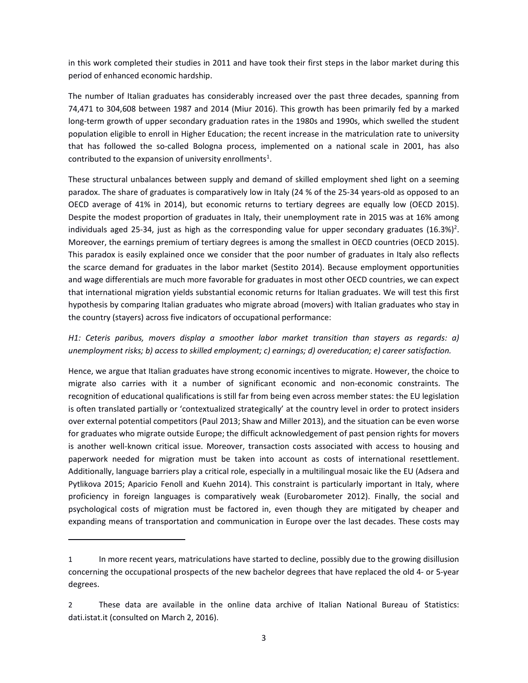in this work completed their studies in 2011 and have took their first steps in the labor market during this period of enhanced economic hardship.

The number of Italian graduates has considerably increased over the past three decades, spanning from 74,471 to 304,608 between 1987 and 2014 (Miur 2016). This growth has been primarily fed by a marked long‐term growth of upper secondary graduation rates in the 1980s and 1990s, which swelled the student population eligible to enroll in Higher Education; the recent increase in the matriculation rate to university that has followed the so-called Bologna process, implemented on a national scale in 2001, has also contributed to the expansion of university enrollments<sup>1</sup>.

These structural unbalances between supply and demand of skilled employment shed light on a seeming paradox. The share of graduates is comparatively low in Italy (24 % of the 25-34 years-old as opposed to an OECD average of 41% in 2014), but economic returns to tertiary degrees are equally low (OECD 2015). Despite the modest proportion of graduates in Italy, their unemployment rate in 2015 was at 16% among individuals aged 25-34, just as high as the corresponding value for upper secondary graduates  $(16.3%)^2$ . Moreover, the earnings premium of tertiary degrees is among the smallest in OECD countries (OECD 2015). This paradox is easily explained once we consider that the poor number of graduates in Italy also reflects the scarce demand for graduates in the labor market (Sestito 2014). Because employment opportunities and wage differentials are much more favorable for graduates in most other OECD countries, we can expect that international migration yields substantial economic returns for Italian graduates. We will test this first hypothesis by comparing Italian graduates who migrate abroad (movers) with Italian graduates who stay in the country (stayers) across five indicators of occupational performance:

# *H1: Ceteris paribus, movers display a smoother labor market transition than stayers as regards: a) unemployment risks; b) access to skilled employment; c) earnings; d) overeducation; e) career satisfaction.*

Hence, we argue that Italian graduates have strong economic incentives to migrate. However, the choice to migrate also carries with it a number of significant economic and non-economic constraints. The recognition of educational qualifications is still far from being even across member states: the EU legislation is often translated partially or 'contextualized strategically' at the country level in order to protect insiders over external potential competitors (Paul 2013; Shaw and Miller 2013), and the situation can be even worse for graduates who migrate outside Europe; the difficult acknowledgement of past pension rights for movers is another well-known critical issue. Moreover, transaction costs associated with access to housing and paperwork needed for migration must be taken into account as costs of international resettlement. Additionally, language barriers play a critical role, especially in a multilingual mosaic like the EU (Adsera and Pytlikova 2015; Aparicio Fenoll and Kuehn 2014). This constraint is particularly important in Italy, where proficiency in foreign languages is comparatively weak (Eurobarometer 2012). Finally, the social and psychological costs of migration must be factored in, even though they are mitigated by cheaper and expanding means of transportation and communication in Europe over the last decades. These costs may

<sup>1</sup> In more recent years, matriculations have started to decline, possibly due to the growing disillusion concerning the occupational prospects of the new bachelor degrees that have replaced the old 4‐ or 5‐year degrees.

<sup>2</sup> These data are available in the online data archive of Italian National Bureau of Statistics: dati.istat.it (consulted on March 2, 2016).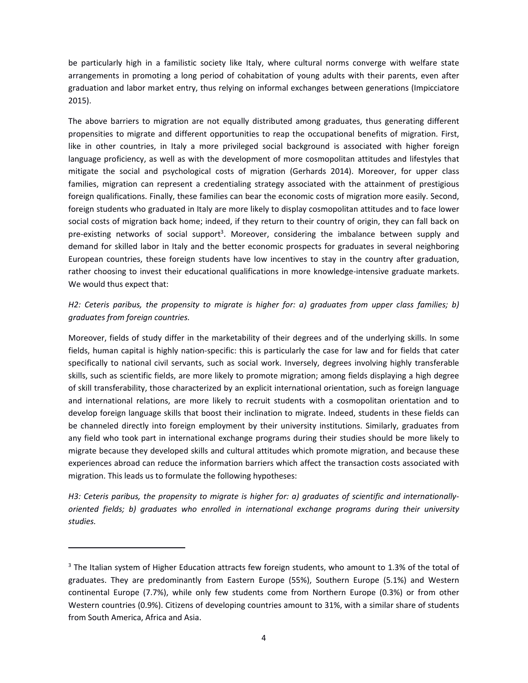be particularly high in a familistic society like Italy, where cultural norms converge with welfare state arrangements in promoting a long period of cohabitation of young adults with their parents, even after graduation and labor market entry, thus relying on informal exchanges between generations (Impicciatore 2015).

The above barriers to migration are not equally distributed among graduates, thus generating different propensities to migrate and different opportunities to reap the occupational benefits of migration. First, like in other countries, in Italy a more privileged social background is associated with higher foreign language proficiency, as well as with the development of more cosmopolitan attitudes and lifestyles that mitigate the social and psychological costs of migration (Gerhards 2014). Moreover, for upper class families, migration can represent a credentialing strategy associated with the attainment of prestigious foreign qualifications. Finally, these families can bear the economic costs of migration more easily. Second, foreign students who graduated in Italy are more likely to display cosmopolitan attitudes and to face lower social costs of migration back home; indeed, if they return to their country of origin, they can fall back on pre-existing networks of social support<sup>3</sup>. Moreover, considering the imbalance between supply and demand for skilled labor in Italy and the better economic prospects for graduates in several neighboring European countries, these foreign students have low incentives to stay in the country after graduation, rather choosing to invest their educational qualifications in more knowledge-intensive graduate markets. We would thus expect that:

# *H2: Ceteris paribus, the propensity to migrate is higher for: a) graduates from upper class families; b) graduates from foreign countries.*

Moreover, fields of study differ in the marketability of their degrees and of the underlying skills. In some fields, human capital is highly nation-specific: this is particularly the case for law and for fields that cater specifically to national civil servants, such as social work. Inversely, degrees involving highly transferable skills, such as scientific fields, are more likely to promote migration; among fields displaying a high degree of skill transferability, those characterized by an explicit international orientation, such as foreign language and international relations, are more likely to recruit students with a cosmopolitan orientation and to develop foreign language skills that boost their inclination to migrate. Indeed, students in these fields can be channeled directly into foreign employment by their university institutions. Similarly, graduates from any field who took part in international exchange programs during their studies should be more likely to migrate because they developed skills and cultural attitudes which promote migration, and because these experiences abroad can reduce the information barriers which affect the transaction costs associated with migration. This leads us to formulate the following hypotheses:

*H3: Ceteris paribus, the propensity to migrate is higher for: a) graduates of scientific and internationally‐ oriented fields; b) graduates who enrolled in international exchange programs during their university studies.* 

 $3$  The Italian system of Higher Education attracts few foreign students, who amount to 1.3% of the total of graduates. They are predominantly from Eastern Europe (55%), Southern Europe (5.1%) and Western continental Europe (7.7%), while only few students come from Northern Europe (0.3%) or from other Western countries (0.9%). Citizens of developing countries amount to 31%, with a similar share of students from South America, Africa and Asia.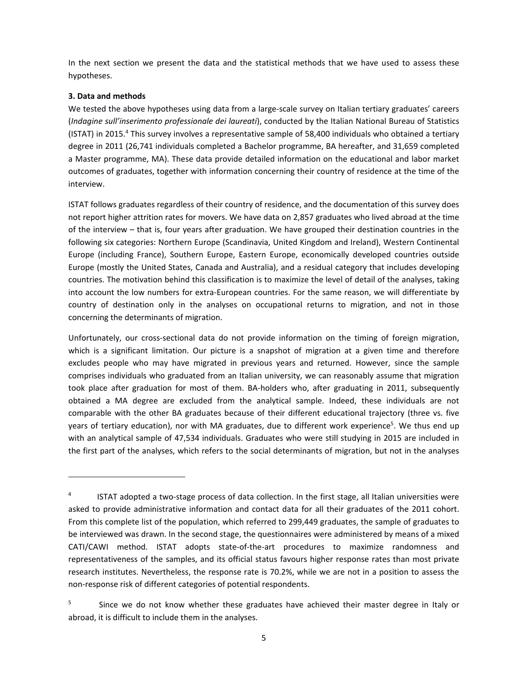In the next section we present the data and the statistical methods that we have used to assess these hypotheses.

### **3. Data and methods**

We tested the above hypotheses using data from a large-scale survey on Italian tertiary graduates' careers (*Indagine sull'inserimento professionale dei laureati*), conducted by the Italian National Bureau of Statistics (ISTAT) in 2015.<sup>4</sup> This survey involves a representative sample of 58,400 individuals who obtained a tertiary degree in 2011 (26,741 individuals completed a Bachelor programme, BA hereafter, and 31,659 completed a Master programme, MA). These data provide detailed information on the educational and labor market outcomes of graduates, together with information concerning their country of residence at the time of the interview.

ISTAT follows graduates regardless of their country of residence, and the documentation of this survey does not report higher attrition rates for movers. We have data on 2,857 graduates who lived abroad at the time of the interview – that is, four years after graduation. We have grouped their destination countries in the following six categories: Northern Europe (Scandinavia, United Kingdom and Ireland), Western Continental Europe (including France), Southern Europe, Eastern Europe, economically developed countries outside Europe (mostly the United States, Canada and Australia), and a residual category that includes developing countries. The motivation behind this classification is to maximize the level of detail of the analyses, taking into account the low numbers for extra‐European countries. For the same reason, we will differentiate by country of destination only in the analyses on occupational returns to migration, and not in those concerning the determinants of migration.

Unfortunately, our cross‐sectional data do not provide information on the timing of foreign migration, which is a significant limitation. Our picture is a snapshot of migration at a given time and therefore excludes people who may have migrated in previous years and returned. However, since the sample comprises individuals who graduated from an Italian university, we can reasonably assume that migration took place after graduation for most of them. BA-holders who, after graduating in 2011, subsequently obtained a MA degree are excluded from the analytical sample. Indeed, these individuals are not comparable with the other BA graduates because of their different educational trajectory (three vs. five years of tertiary education), nor with MA graduates, due to different work experience<sup>5</sup>. We thus end up with an analytical sample of 47,534 individuals. Graduates who were still studying in 2015 are included in the first part of the analyses, which refers to the social determinants of migration, but not in the analyses

<sup>4</sup> ISTAT adopted a two‐stage process of data collection. In the first stage, all Italian universities were asked to provide administrative information and contact data for all their graduates of the 2011 cohort. From this complete list of the population, which referred to 299,449 graduates, the sample of graduates to be interviewed was drawn. In the second stage, the questionnaires were administered by means of a mixed CATI/CAWI method. ISTAT adopts state-of-the-art procedures to maximize randomness and representativeness of the samples, and its official status favours higher response rates than most private research institutes. Nevertheless, the response rate is 70.2%, while we are not in a position to assess the non‐response risk of different categories of potential respondents.

<sup>&</sup>lt;sup>5</sup> Since we do not know whether these graduates have achieved their master degree in Italy or abroad, it is difficult to include them in the analyses.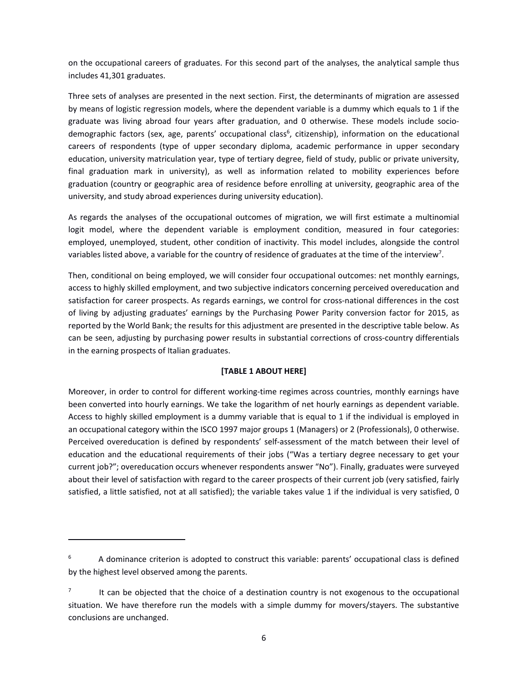on the occupational careers of graduates. For this second part of the analyses, the analytical sample thus includes 41,301 graduates.

Three sets of analyses are presented in the next section. First, the determinants of migration are assessed by means of logistic regression models, where the dependent variable is a dummy which equals to 1 if the graduate was living abroad four years after graduation, and 0 otherwise. These models include sociodemographic factors (sex, age, parents' occupational class<sup>6</sup>, citizenship), information on the educational careers of respondents (type of upper secondary diploma, academic performance in upper secondary education, university matriculation year, type of tertiary degree, field of study, public or private university, final graduation mark in university), as well as information related to mobility experiences before graduation (country or geographic area of residence before enrolling at university, geographic area of the university, and study abroad experiences during university education).

As regards the analyses of the occupational outcomes of migration, we will first estimate a multinomial logit model, where the dependent variable is employment condition, measured in four categories: employed, unemployed, student, other condition of inactivity. This model includes, alongside the control variables listed above, a variable for the country of residence of graduates at the time of the interview<sup>7</sup>.

Then, conditional on being employed, we will consider four occupational outcomes: net monthly earnings, access to highly skilled employment, and two subjective indicators concerning perceived overeducation and satisfaction for career prospects. As regards earnings, we control for cross-national differences in the cost of living by adjusting graduates' earnings by the Purchasing Power Parity conversion factor for 2015, as reported by the World Bank; the results for this adjustment are presented in the descriptive table below. As can be seen, adjusting by purchasing power results in substantial corrections of cross-country differentials in the earning prospects of Italian graduates.

# **[TABLE 1 ABOUT HERE]**

Moreover, in order to control for different working-time regimes across countries, monthly earnings have been converted into hourly earnings. We take the logarithm of net hourly earnings as dependent variable. Access to highly skilled employment is a dummy variable that is equal to 1 if the individual is employed in an occupational category within the ISCO 1997 major groups 1 (Managers) or 2 (Professionals), 0 otherwise. Perceived overeducation is defined by respondents' self-assessment of the match between their level of education and the educational requirements of their jobs ("Was a tertiary degree necessary to get your current job?"; overeducation occurs whenever respondents answer "No"). Finally, graduates were surveyed about their level of satisfaction with regard to the career prospects of their current job (very satisfied, fairly satisfied, a little satisfied, not at all satisfied); the variable takes value 1 if the individual is very satisfied, 0

<sup>&</sup>lt;sup>6</sup> A dominance criterion is adopted to construct this variable: parents' occupational class is defined by the highest level observed among the parents.

 $<sup>7</sup>$  It can be objected that the choice of a destination country is not exogenous to the occupational</sup> situation. We have therefore run the models with a simple dummy for movers/stayers. The substantive conclusions are unchanged.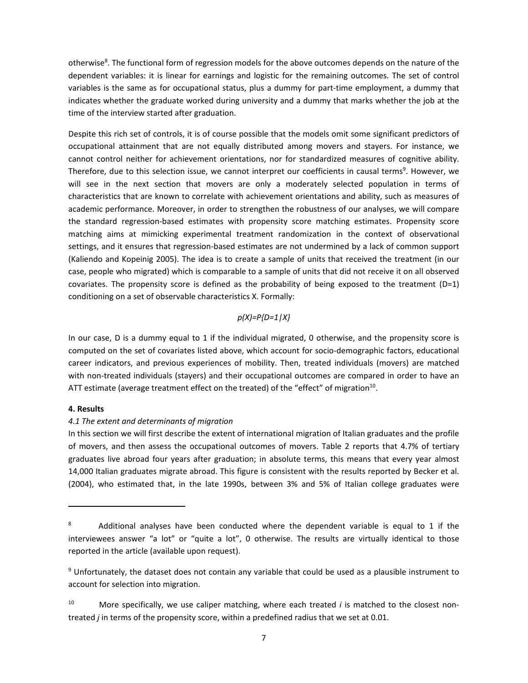otherwise<sup>8</sup>. The functional form of regression models for the above outcomes depends on the nature of the dependent variables: it is linear for earnings and logistic for the remaining outcomes. The set of control variables is the same as for occupational status, plus a dummy for part‐time employment, a dummy that indicates whether the graduate worked during university and a dummy that marks whether the job at the time of the interview started after graduation.

Despite this rich set of controls, it is of course possible that the models omit some significant predictors of occupational attainment that are not equally distributed among movers and stayers. For instance, we cannot control neither for achievement orientations, nor for standardized measures of cognitive ability. Therefore, due to this selection issue, we cannot interpret our coefficients in causal terms<sup>9</sup>. However, we will see in the next section that movers are only a moderately selected population in terms of characteristics that are known to correlate with achievement orientations and ability, such as measures of academic performance. Moreover, in order to strengthen the robustness of our analyses, we will compare the standard regression‐based estimates with propensity score matching estimates. Propensity score matching aims at mimicking experimental treatment randomization in the context of observational settings, and it ensures that regression-based estimates are not undermined by a lack of common support (Kaliendo and Kopeinig 2005). The idea is to create a sample of units that received the treatment (in our case, people who migrated) which is comparable to a sample of units that did not receive it on all observed covariates. The propensity score is defined as the probability of being exposed to the treatment  $(D=1)$ conditioning on a set of observable characteristics X. Formally:

# *p(X)=P{D=1|X}*

In our case, D is a dummy equal to 1 if the individual migrated, 0 otherwise, and the propensity score is computed on the set of covariates listed above, which account for socio‐demographic factors, educational career indicators, and previous experiences of mobility. Then, treated individuals (movers) are matched with non‐treated individuals (stayers) and their occupational outcomes are compared in order to have an ATT estimate (average treatment effect on the treated) of the "effect" of migration<sup>10</sup>.

### **4. Results**

### *4.1 The extent and determinants of migration*

In this section we will first describe the extent of international migration of Italian graduates and the profile of movers, and then assess the occupational outcomes of movers. Table 2 reports that 4.7% of tertiary graduates live abroad four years after graduation; in absolute terms, this means that every year almost 14,000 Italian graduates migrate abroad. This figure is consistent with the results reported by Becker et al. (2004), who estimated that, in the late 1990s, between 3% and 5% of Italian college graduates were

<sup>&</sup>lt;sup>8</sup> Additional analyses have been conducted where the dependent variable is equal to 1 if the interviewees answer "a lot" or "quite a lot", 0 otherwise. The results are virtually identical to those reported in the article (available upon request).

<sup>&</sup>lt;sup>9</sup> Unfortunately, the dataset does not contain any variable that could be used as a plausible instrument to account for selection into migration.

<sup>&</sup>lt;sup>10</sup> More specifically, we use caliper matching, where each treated *i* is matched to the closest nontreated *j* in terms of the propensity score, within a predefined radius that we set at 0.01.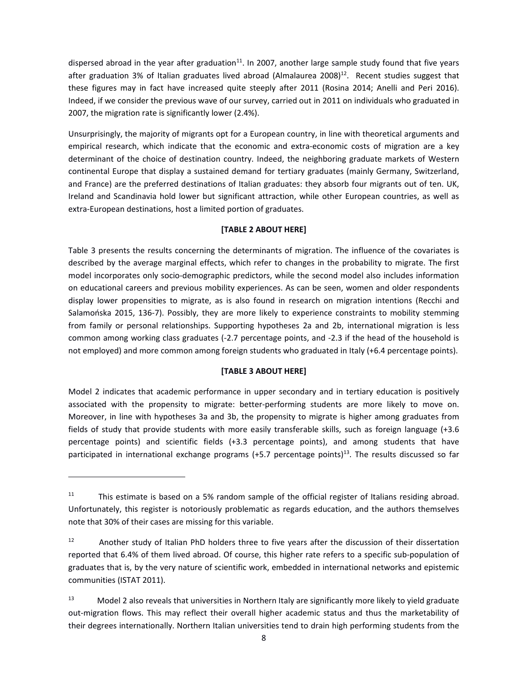dispersed abroad in the year after graduation $^{11}$ . In 2007, another large sample study found that five years after graduation 3% of Italian graduates lived abroad (Almalaurea 2008)<sup>12</sup>. Recent studies suggest that these figures may in fact have increased quite steeply after 2011 (Rosina 2014; Anelli and Peri 2016). Indeed, if we consider the previous wave of our survey, carried out in 2011 on individuals who graduated in 2007, the migration rate is significantly lower (2.4%).

Unsurprisingly, the majority of migrants opt for a European country, in line with theoretical arguments and empirical research, which indicate that the economic and extra-economic costs of migration are a key determinant of the choice of destination country. Indeed, the neighboring graduate markets of Western continental Europe that display a sustained demand for tertiary graduates (mainly Germany, Switzerland, and France) are the preferred destinations of Italian graduates: they absorb four migrants out of ten. UK, Ireland and Scandinavia hold lower but significant attraction, while other European countries, as well as extra‐European destinations, host a limited portion of graduates.

#### **[TABLE 2 ABOUT HERE]**

Table 3 presents the results concerning the determinants of migration. The influence of the covariates is described by the average marginal effects, which refer to changes in the probability to migrate. The first model incorporates only socio‐demographic predictors, while the second model also includes information on educational careers and previous mobility experiences. As can be seen, women and older respondents display lower propensities to migrate, as is also found in research on migration intentions (Recchi and Salamońska 2015, 136-7). Possibly, they are more likely to experience constraints to mobility stemming from family or personal relationships. Supporting hypotheses 2a and 2b, international migration is less common among working class graduates (‐2.7 percentage points, and ‐2.3 if the head of the household is not employed) and more common among foreign students who graduated in Italy (+6.4 percentage points).

#### **[TABLE 3 ABOUT HERE]**

Model 2 indicates that academic performance in upper secondary and in tertiary education is positively associated with the propensity to migrate: better‐performing students are more likely to move on. Moreover, in line with hypotheses 3a and 3b, the propensity to migrate is higher among graduates from fields of study that provide students with more easily transferable skills, such as foreign language (+3.6 percentage points) and scientific fields (+3.3 percentage points), and among students that have participated in international exchange programs  $(+5.7$  percentage points)<sup>13</sup>. The results discussed so far

<sup>&</sup>lt;sup>11</sup> This estimate is based on a 5% random sample of the official register of Italians residing abroad. Unfortunately, this register is notoriously problematic as regards education, and the authors themselves note that 30% of their cases are missing for this variable.

<sup>&</sup>lt;sup>12</sup> Another study of Italian PhD holders three to five years after the discussion of their dissertation reported that 6.4% of them lived abroad. Of course, this higher rate refers to a specific sub‐population of graduates that is, by the very nature of scientific work, embedded in international networks and epistemic communities (ISTAT 2011).

<sup>&</sup>lt;sup>13</sup> Model 2 also reveals that universities in Northern Italy are significantly more likely to yield graduate out-migration flows. This may reflect their overall higher academic status and thus the marketability of their degrees internationally. Northern Italian universities tend to drain high performing students from the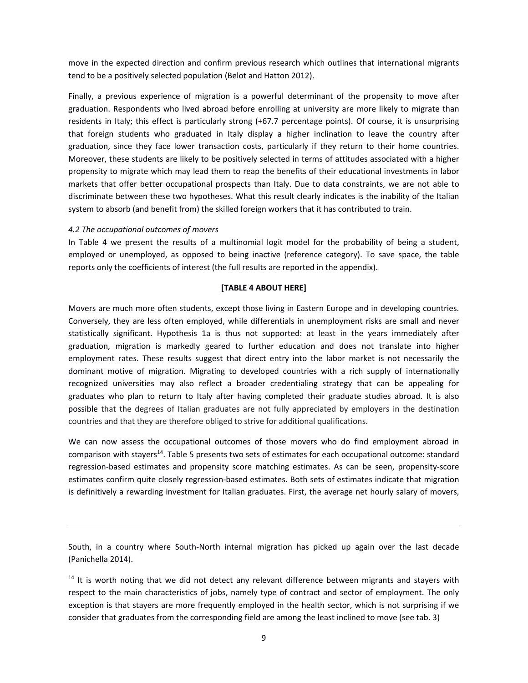move in the expected direction and confirm previous research which outlines that international migrants tend to be a positively selected population (Belot and Hatton 2012).

Finally, a previous experience of migration is a powerful determinant of the propensity to move after graduation. Respondents who lived abroad before enrolling at university are more likely to migrate than residents in Italy; this effect is particularly strong (+67.7 percentage points). Of course, it is unsurprising that foreign students who graduated in Italy display a higher inclination to leave the country after graduation, since they face lower transaction costs, particularly if they return to their home countries. Moreover, these students are likely to be positively selected in terms of attitudes associated with a higher propensity to migrate which may lead them to reap the benefits of their educational investments in labor markets that offer better occupational prospects than Italy. Due to data constraints, we are not able to discriminate between these two hypotheses. What this result clearly indicates is the inability of the Italian system to absorb (and benefit from) the skilled foreign workers that it has contributed to train.

#### *4.2 The occupational outcomes of movers*

In Table 4 we present the results of a multinomial logit model for the probability of being a student, employed or unemployed, as opposed to being inactive (reference category). To save space, the table reports only the coefficients of interest (the full results are reported in the appendix).

#### **[TABLE 4 ABOUT HERE]**

Movers are much more often students, except those living in Eastern Europe and in developing countries. Conversely, they are less often employed, while differentials in unemployment risks are small and never statistically significant. Hypothesis 1a is thus not supported: at least in the years immediately after graduation, migration is markedly geared to further education and does not translate into higher employment rates. These results suggest that direct entry into the labor market is not necessarily the dominant motive of migration. Migrating to developed countries with a rich supply of internationally recognized universities may also reflect a broader credentialing strategy that can be appealing for graduates who plan to return to Italy after having completed their graduate studies abroad. It is also possible that the degrees of Italian graduates are not fully appreciated by employers in the destination countries and that they are therefore obliged to strive for additional qualifications.

We can now assess the occupational outcomes of those movers who do find employment abroad in comparison with stayers<sup>14</sup>. Table 5 presents two sets of estimates for each occupational outcome: standard regression‐based estimates and propensity score matching estimates. As can be seen, propensity‐score estimates confirm quite closely regression‐based estimates. Both sets of estimates indicate that migration is definitively a rewarding investment for Italian graduates. First, the average net hourly salary of movers,

South, in a country where South-North internal migration has picked up again over the last decade (Panichella 2014).

 $14$  It is worth noting that we did not detect any relevant difference between migrants and stayers with respect to the main characteristics of jobs, namely type of contract and sector of employment. The only exception is that stayers are more frequently employed in the health sector, which is not surprising if we consider that graduates from the corresponding field are among the least inclined to move (see tab. 3)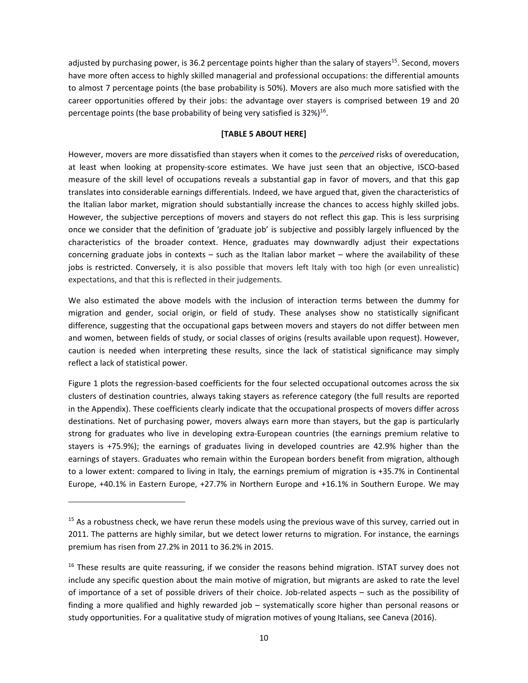adjusted by purchasing power, is 36.2 percentage points higher than the salary of stayers<sup>15</sup>. Second, movers have more often access to highly skilled managerial and professional occupations: the differential amounts to almost 7 percentage points (the base probability is 50%). Movers are also much more satisfied with the career opportunities offered by their jobs: the advantage over stayers is comprised between 19 and 20 percentage points (the base probability of being very satisfied is  $32\%/^{16}$ .

### **[TABLE 5 ABOUT HERE]**

However, movers are more dissatisfied than stayers when it comes to the *perceived* risks of overeducation, at least when looking at propensity-score estimates. We have just seen that an objective, ISCO-based measure of the skill level of occupations reveals a substantial gap in favor of movers, and that this gap translates into considerable earnings differentials. Indeed, we have argued that, given the characteristics of the Italian labor market, migration should substantially increase the chances to access highly skilled jobs. However, the subjective perceptions of movers and stayers do not reflect this gap. This is less surprising once we consider that the definition of 'graduate job' is subjective and possibly largely influenced by the characteristics of the broader context. Hence, graduates may downwardly adjust their expectations concerning graduate jobs in contexts – such as the Italian labor market – where the availability of these jobs is restricted. Conversely, it is also possible that movers left Italy with too high (or even unrealistic) expectations, and that this is reflected in their judgements.

We also estimated the above models with the inclusion of interaction terms between the dummy for migration and gender, social origin, or field of study. These analyses show no statistically significant difference, suggesting that the occupational gaps between movers and stayers do not differ between men and women, between fields of study, or social classes of origins (results available upon request). However, caution is needed when interpreting these results, since the lack of statistical significance may simply reflect a lack of statistical power.

Figure 1 plots the regression-based coefficients for the four selected occupational outcomes across the six clusters of destination countries, always taking stayers as reference category (the full results are reported in the Appendix). These coefficients clearly indicate that the occupational prospects of movers differ across destinations. Net of purchasing power, movers always earn more than stayers, but the gap is particularly strong for graduates who live in developing extra-European countries (the earnings premium relative to stayers is +75.9%); the earnings of graduates living in developed countries are 42.9% higher than the earnings of stayers. Graduates who remain within the European borders benefit from migration, although to a lower extent: compared to living in Italy, the earnings premium of migration is +35.7% in Continental Europe, +40.1% in Eastern Europe, +27.7% in Northern Europe and +16.1% in Southern Europe. We may

 $15$  As a robustness check, we have rerun these models using the previous wave of this survey, carried out in 2011. The patterns are highly similar, but we detect lower returns to migration. For instance, the earnings premium has risen from 27.2% in 2011 to 36.2% in 2015.

 $<sup>16</sup>$  These results are quite reassuring, if we consider the reasons behind migration. ISTAT survey does not</sup> include any specific question about the main motive of migration, but migrants are asked to rate the level of importance of a set of possible drivers of their choice. Job-related aspects – such as the possibility of finding a more qualified and highly rewarded job – systematically score higher than personal reasons or study opportunities. For a qualitative study of migration motives of young Italians, see Caneva (2016).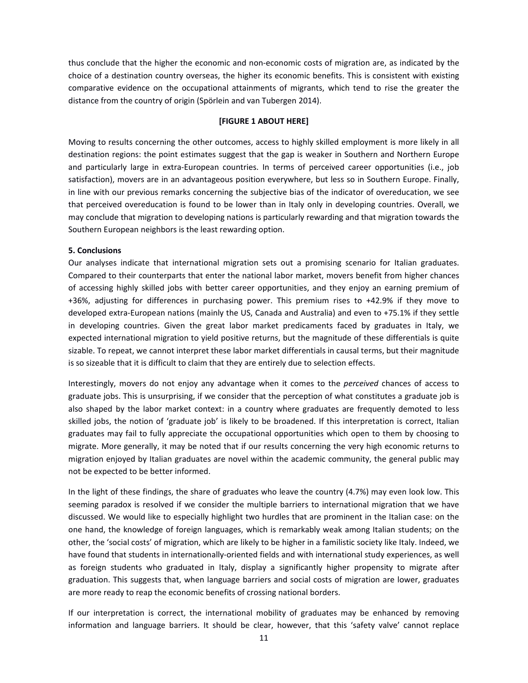thus conclude that the higher the economic and non‐economic costs of migration are, as indicated by the choice of a destination country overseas, the higher its economic benefits. This is consistent with existing comparative evidence on the occupational attainments of migrants, which tend to rise the greater the distance from the country of origin (Spörlein and van Tubergen 2014).

#### **[FIGURE 1 ABOUT HERE]**

Moving to results concerning the other outcomes, access to highly skilled employment is more likely in all destination regions: the point estimates suggest that the gap is weaker in Southern and Northern Europe and particularly large in extra-European countries. In terms of perceived career opportunities (i.e., job satisfaction), movers are in an advantageous position everywhere, but less so in Southern Europe. Finally, in line with our previous remarks concerning the subjective bias of the indicator of overeducation, we see that perceived overeducation is found to be lower than in Italy only in developing countries. Overall, we may conclude that migration to developing nations is particularly rewarding and that migration towards the Southern European neighbors is the least rewarding option.

#### **5. Conclusions**

Our analyses indicate that international migration sets out a promising scenario for Italian graduates. Compared to their counterparts that enter the national labor market, movers benefit from higher chances of accessing highly skilled jobs with better career opportunities, and they enjoy an earning premium of +36%, adjusting for differences in purchasing power. This premium rises to +42.9% if they move to developed extra‐European nations (mainly the US, Canada and Australia) and even to +75.1% if they settle in developing countries. Given the great labor market predicaments faced by graduates in Italy, we expected international migration to yield positive returns, but the magnitude of these differentials is quite sizable. To repeat, we cannot interpret these labor market differentials in causal terms, but their magnitude is so sizeable that it is difficult to claim that they are entirely due to selection effects.

Interestingly, movers do not enjoy any advantage when it comes to the *perceived* chances of access to graduate jobs. This is unsurprising, if we consider that the perception of what constitutes a graduate job is also shaped by the labor market context: in a country where graduates are frequently demoted to less skilled jobs, the notion of 'graduate job' is likely to be broadened. If this interpretation is correct, Italian graduates may fail to fully appreciate the occupational opportunities which open to them by choosing to migrate. More generally, it may be noted that if our results concerning the very high economic returns to migration enjoyed by Italian graduates are novel within the academic community, the general public may not be expected to be better informed.

In the light of these findings, the share of graduates who leave the country (4.7%) may even look low. This seeming paradox is resolved if we consider the multiple barriers to international migration that we have discussed. We would like to especially highlight two hurdles that are prominent in the Italian case: on the one hand, the knowledge of foreign languages, which is remarkably weak among Italian students; on the other, the 'social costs' of migration, which are likely to be higher in a familistic society like Italy. Indeed, we have found that students in internationally‐oriented fields and with international study experiences, as well as foreign students who graduated in Italy, display a significantly higher propensity to migrate after graduation. This suggests that, when language barriers and social costs of migration are lower, graduates are more ready to reap the economic benefits of crossing national borders.

If our interpretation is correct, the international mobility of graduates may be enhanced by removing information and language barriers. It should be clear, however, that this 'safety valve' cannot replace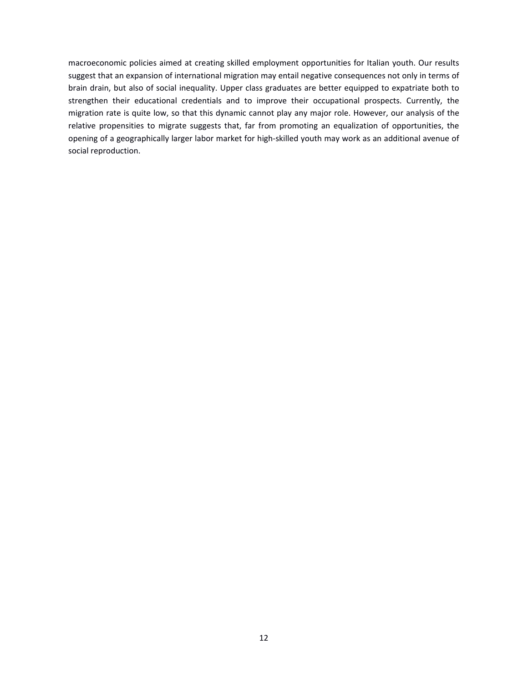macroeconomic policies aimed at creating skilled employment opportunities for Italian youth. Our results suggest that an expansion of international migration may entail negative consequences not only in terms of brain drain, but also of social inequality. Upper class graduates are better equipped to expatriate both to strengthen their educational credentials and to improve their occupational prospects. Currently, the migration rate is quite low, so that this dynamic cannot play any major role. However, our analysis of the relative propensities to migrate suggests that, far from promoting an equalization of opportunities, the opening of a geographically larger labor market for high‐skilled youth may work as an additional avenue of social reproduction.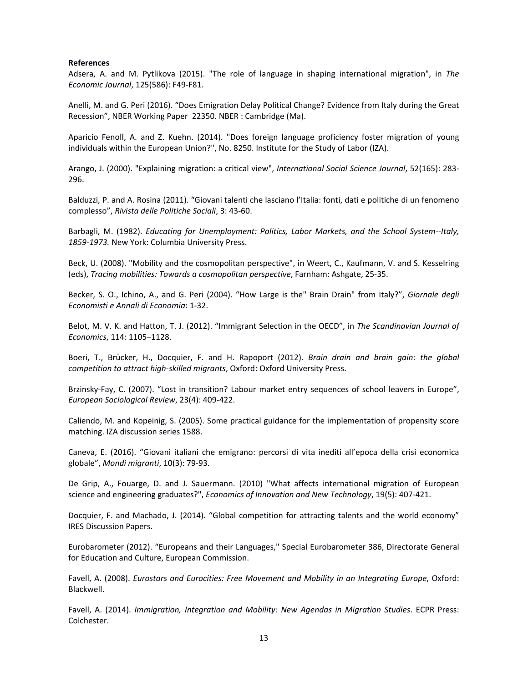#### **References**

Adsera, A. and M. Pytlikova (2015). "The role of language in shaping international migration", in *The Economic Journal*, 125(586): F49‐F81.

Anelli, M. and G. Peri (2016). "Does Emigration Delay Political Change? Evidence from Italy during the Great Recession", NBER Working Paper 22350. NBER : Cambridge (Ma).

Aparicio Fenoll, A. and Z. Kuehn. (2014). "Does foreign language proficiency foster migration of young individuals within the European Union?", No. 8250. Institute for the Study of Labor (IZA).

Arango, J. (2000). "Explaining migration: a critical view", *International Social Science Journal*, 52(165): 283‐ 296.

Balduzzi, P. and A. Rosina (2011). "Giovani talenti che lasciano l'Italia: fonti, dati e politiche di un fenomeno complesso", *Rivista delle Politiche Sociali*, 3: 43‐60.

Barbagli, M. (1982). *Educating for Unemployment: Politics, Labor Markets, and the School System‐‐Italy, 1859‐1973.* New York: Columbia University Press.

Beck, U. (2008). "Mobility and the cosmopolitan perspective", in Weert, C., Kaufmann, V. and S. Kesselring (eds), *Tracing mobilities: Towards a cosmopolitan perspective*, Farnham: Ashgate, 25‐35.

Becker, S. O., Ichino, A., and G. Peri (2004). "How Large is the" Brain Drain" from Italy?", *Giornale degli Economisti e Annali di Economia*: 1‐32.

Belot, M. V. K. and Hatton, T. J. (2012). "Immigrant Selection in the OECD", in *The Scandinavian Journal of Economics*, 114: 1105–1128.

Boeri, T., Brücker, H., Docquier, F. and H. Rapoport (2012). *Brain drain and brain gain: the global competition to attract high‐skilled migrants*, Oxford: Oxford University Press.

Brzinsky-Fay, C. (2007). "Lost in transition? Labour market entry sequences of school leavers in Europe", *European Sociological Review*, 23(4): 409‐422.

Caliendo, M. and Kopeinig, S. (2005). Some practical guidance for the implementation of propensity score matching. IZA discussion series 1588.

Caneva, E. (2016). "Giovani italiani che emigrano: percorsi di vita inediti all'epoca della crisi economica globale", *Mondi migranti*, 10(3): 79‐93.

De Grip, A., Fouarge, D. and J. Sauermann. (2010) "What affects international migration of European science and engineering graduates?", *Economics of Innovation and New Technology*, 19(5): 407‐421.

Docquier, F. and Machado, J. (2014). "Global competition for attracting talents and the world economy" IRES Discussion Papers.

Eurobarometer (2012). "Europeans and their Languages," Special Eurobarometer 386, Directorate General for Education and Culture, European Commission.

Favell, A. (2008). *Eurostars and Eurocities: Free Movement and Mobility in an Integrating Europe*, Oxford: Blackwell.

Favell, A. (2014). *Immigration, Integration and Mobility: New Agendas in Migration Studies*. ECPR Press: Colchester.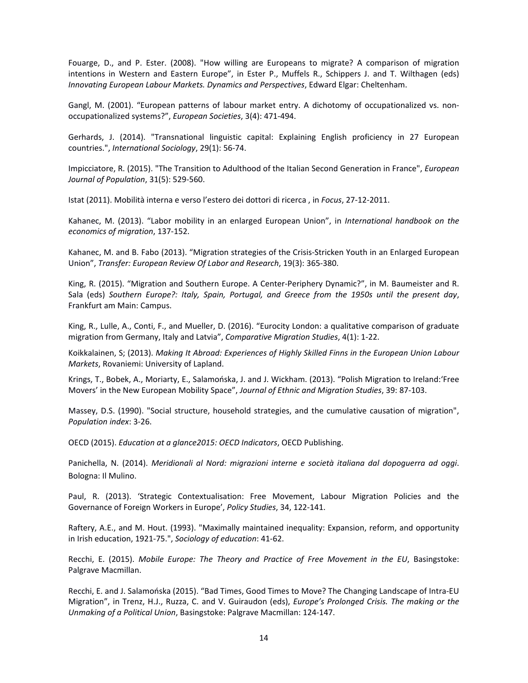Fouarge, D., and P. Ester. (2008). "How willing are Europeans to migrate? A comparison of migration intentions in Western and Eastern Europe", in Ester P., Muffels R., Schippers J. and T. Wilthagen (eds) *Innovating European Labour Markets. Dynamics and Perspectives*, Edward Elgar: Cheltenham.

Gangl, M. (2001). "European patterns of labour market entry. A dichotomy of occupationalized vs. nonoccupationalized systems?", *European Societies*, 3(4): 471‐494.

Gerhards, J. (2014). "Transnational linguistic capital: Explaining English proficiency in 27 European countries.", *International Sociology*, 29(1): 56‐74.

Impicciatore, R. (2015). "The Transition to Adulthood of the Italian Second Generation in France", *European Journal of Population*, 31(5): 529‐560.

Istat (2011). Mobilità interna e verso l'estero dei dottori di ricerca , in *Focus*, 27‐12‐2011.

Kahanec, M. (2013). "Labor mobility in an enlarged European Union", in *International handbook on the economics of migration*, 137‐152.

Kahanec, M. and B. Fabo (2013). "Migration strategies of the Crisis‐Stricken Youth in an Enlarged European Union", *Transfer: European Review Of Labor and Research*, 19(3): 365‐380.

King, R. (2015). "Migration and Southern Europe. A Center‐Periphery Dynamic?", in M. Baumeister and R. Sala (eds) *Southern Europe?: Italy, Spain, Portugal, and Greece from the 1950s until the present day*, Frankfurt am Main: Campus.

King, R., Lulle, A., Conti, F., and Mueller, D. (2016). "Eurocity London: a qualitative comparison of graduate migration from Germany, Italy and Latvia", *Comparative Migration Studies*, 4(1): 1‐22.

Koikkalainen, S; (2013). *Making It Abroad: Experiences of Highly Skilled Finns in the European Union Labour Markets*, Rovaniemi: University of Lapland.

Krings, T., Bobek, A., Moriarty, E., Salamońska, J. and J. Wickham. (2013). "Polish Migration to Ireland:'Free Movers' in the New European Mobility Space", *Journal of Ethnic and Migration Studies*, 39: 87‐103.

Massey, D.S. (1990). "Social structure, household strategies, and the cumulative causation of migration", *Population index*: 3‐26.

OECD (2015). *Education at a glance2015: OECD Indicators*, OECD Publishing.

Panichella, N. (2014). *Meridionali al Nord: migrazioni interne e società italiana dal dopoguerra ad oggi*. Bologna: Il Mulino.

Paul, R. (2013). 'Strategic Contextualisation: Free Movement, Labour Migration Policies and the Governance of Foreign Workers in Europe', *Policy Studies*, 34, 122‐141.

Raftery, A.E., and M. Hout. (1993). "Maximally maintained inequality: Expansion, reform, and opportunity in Irish education, 1921‐75.", *Sociology of education*: 41‐62.

Recchi, E. (2015). *Mobile Europe: The Theory and Practice of Free Movement in the EU*, Basingstoke: Palgrave Macmillan.

Recchi, E. and J. Salamońska (2015). "Bad Times, Good Times to Move? The Changing Landscape of Intra‐EU Migration", in Trenz, H.J., Ruzza, C. and V. Guiraudon (eds), *Europe's Prolonged Crisis. The making or the Unmaking of a Political Union*, Basingstoke: Palgrave Macmillan: 124‐147.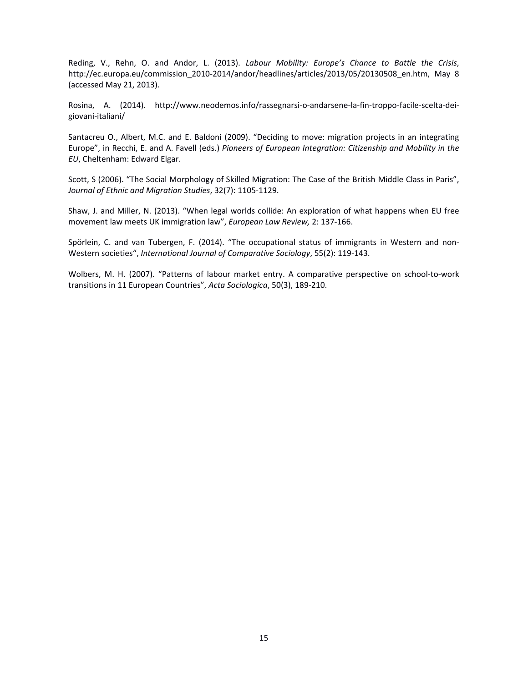Reding, V., Rehn, O. and Andor, L. (2013). *Labour Mobility: Europe's Chance to Battle the Crisis*, http://ec.europa.eu/commission\_2010‐2014/andor/headlines/articles/2013/05/20130508\_en.htm, May 8 (accessed May 21, 2013).

Rosina, A. (2014). http://www.neodemos.info/rassegnarsi-o-andarsene-la-fin-troppo-facile-scelta-deigiovani‐italiani/

Santacreu O., Albert, M.C. and E. Baldoni (2009). "Deciding to move: migration projects in an integrating Europe", in Recchi, E. and A. Favell (eds.) *Pioneers of European Integration: Citizenship and Mobility in the EU*, Cheltenham: Edward Elgar.

Scott, S (2006). "The Social Morphology of Skilled Migration: The Case of the British Middle Class in Paris", *Journal of Ethnic and Migration Studies*, 32(7): 1105‐1129.

Shaw, J. and Miller, N. (2013). "When legal worlds collide: An exploration of what happens when EU free movement law meets UK immigration law", *European Law Review,* 2: 137‐166.

Spörlein, C. and van Tubergen, F. (2014). "The occupational status of immigrants in Western and non-Western societies", *International Journal of Comparative Sociology*, 55(2): 119‐143.

Wolbers, M. H. (2007). "Patterns of labour market entry. A comparative perspective on school-to-work transitions in 11 European Countries", *Acta Sociologica*, 50(3), 189‐210.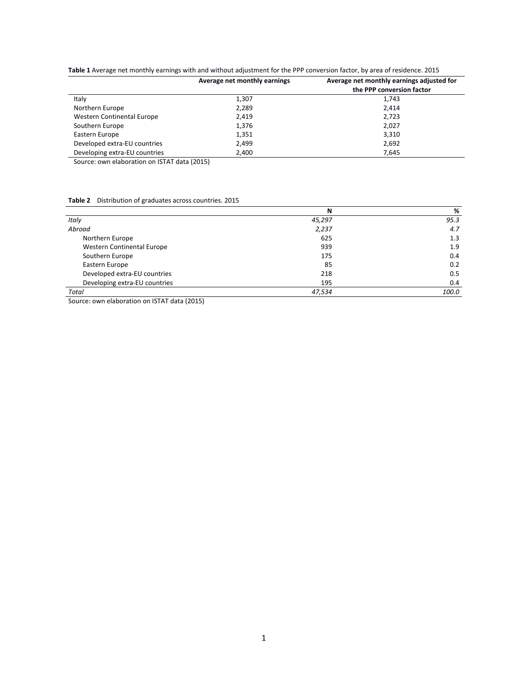| Table 1 Average net monthly earnings with and without adjustment for the PPP conversion factor, by area of residence. 2015 |  |  |
|----------------------------------------------------------------------------------------------------------------------------|--|--|
|----------------------------------------------------------------------------------------------------------------------------|--|--|

|                               | Average net monthly earnings | Average net monthly earnings adjusted for<br>the PPP conversion factor |
|-------------------------------|------------------------------|------------------------------------------------------------------------|
| Italy                         | 1,307                        | 1,743                                                                  |
| Northern Europe               | 2,289                        | 2,414                                                                  |
| Western Continental Europe    | 2,419                        | 2,723                                                                  |
| Southern Europe               | 1,376                        | 2,027                                                                  |
| Eastern Europe                | 1,351                        | 3,310                                                                  |
| Developed extra-EU countries  | 2,499                        | 2,692                                                                  |
| Developing extra-EU countries | 2,400                        | 7.645                                                                  |

Source: own elaboration on ISTAT data (2015)

### **Table 2** Distribution of graduates across countries. 2015

|                               | N      | %     |
|-------------------------------|--------|-------|
| Italy                         | 45,297 | 95.3  |
| Abroad                        | 2,237  | 4.7   |
| Northern Europe               | 625    | 1.3   |
| Western Continental Europe    | 939    | 1.9   |
| Southern Europe               | 175    | 0.4   |
| Eastern Europe                | 85     | 0.2   |
| Developed extra-EU countries  | 218    | 0.5   |
| Developing extra-EU countries | 195    | 0.4   |
| Total                         | 47,534 | 100.0 |

Source: own elaboration on ISTAT data (2015)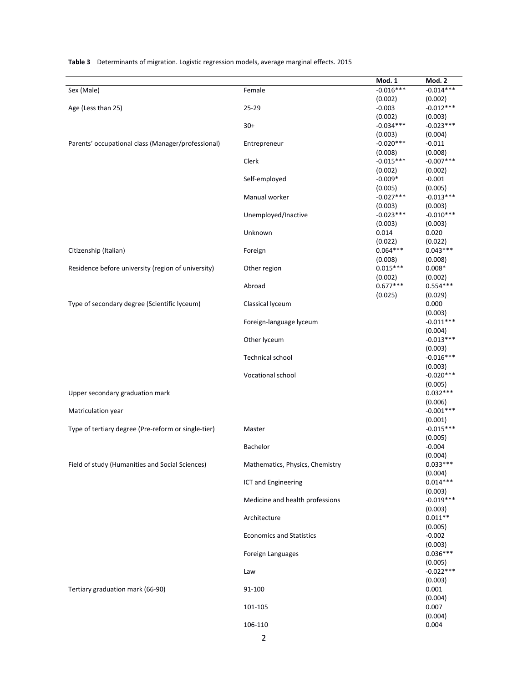|                                                     |                                 | Mod. 1                 | Mod. 2                 |
|-----------------------------------------------------|---------------------------------|------------------------|------------------------|
| Sex (Male)                                          | Female                          | $-0.016***$            | $-0.014***$            |
|                                                     |                                 | (0.002)                | (0.002)                |
| Age (Less than 25)                                  | 25-29                           | $-0.003$               | $-0.012***$            |
|                                                     |                                 | (0.002)                | (0.003)                |
|                                                     | $30+$                           | $-0.034***$            | $-0.023***$            |
|                                                     |                                 | (0.003)                | (0.004)                |
| Parents' occupational class (Manager/professional)  | Entrepreneur                    | $-0.020***$            | $-0.011$               |
|                                                     |                                 | (0.008)                | (0.008)                |
|                                                     | Clerk                           | $-0.015***$            | $-0.007***$            |
|                                                     |                                 | (0.002)                | (0.002)                |
|                                                     | Self-employed                   | $-0.009*$              | $-0.001$               |
|                                                     | Manual worker                   | (0.005)<br>$-0.027***$ | (0.005)                |
|                                                     |                                 |                        | $-0.013***$            |
|                                                     |                                 | (0.003)<br>$-0.023***$ | (0.003)<br>$-0.010***$ |
|                                                     | Unemployed/Inactive             | (0.003)                | (0.003)                |
|                                                     | Unknown                         | 0.014                  | 0.020                  |
|                                                     |                                 | (0.022)                | (0.022)                |
| Citizenship (Italian)                               | Foreign                         | $0.064***$             | $0.043***$             |
|                                                     |                                 | (0.008)                | (0.008)                |
| Residence before university (region of university)  | Other region                    | $0.015***$             | $0.008*$               |
|                                                     |                                 | (0.002)                | (0.002)                |
|                                                     | Abroad                          | $0.677***$             | $0.554***$             |
|                                                     |                                 | (0.025)                | (0.029)                |
| Type of secondary degree (Scientific lyceum)        | Classical lyceum                |                        | 0.000                  |
|                                                     |                                 |                        | (0.003)                |
|                                                     | Foreign-language lyceum         |                        | $-0.011***$            |
|                                                     |                                 |                        | (0.004)                |
|                                                     | Other lyceum                    |                        | $-0.013***$            |
|                                                     |                                 |                        | (0.003)                |
|                                                     | <b>Technical school</b>         |                        | $-0.016***$            |
|                                                     |                                 |                        | (0.003)                |
|                                                     | Vocational school               |                        | $-0.020***$            |
|                                                     |                                 |                        | (0.005)                |
| Upper secondary graduation mark                     |                                 |                        | $0.032***$             |
|                                                     |                                 |                        | (0.006)                |
| Matriculation year                                  |                                 |                        | $-0.001***$            |
|                                                     |                                 |                        | (0.001)                |
| Type of tertiary degree (Pre-reform or single-tier) | Master                          |                        | $-0.015***$            |
|                                                     |                                 |                        | (0.005)                |
|                                                     | <b>Bachelor</b>                 |                        | $-0.004$               |
|                                                     |                                 |                        | (0.004)                |
| Field of study (Humanities and Social Sciences)     | Mathematics, Physics, Chemistry |                        | $0.033***$             |
|                                                     |                                 |                        | (0.004)                |
|                                                     | ICT and Engineering             |                        | $0.014***$             |
|                                                     |                                 |                        | (0.003)                |
|                                                     | Medicine and health professions |                        | $-0.019***$            |
|                                                     |                                 |                        | (0.003)                |
|                                                     | Architecture                    |                        | $0.011**$              |
|                                                     |                                 |                        | (0.005)                |
|                                                     | <b>Economics and Statistics</b> |                        | $-0.002$               |
|                                                     |                                 |                        | (0.003)                |
|                                                     | Foreign Languages               |                        | $0.036***$             |
|                                                     |                                 |                        | (0.005)                |
|                                                     | Law                             |                        | $-0.022***$            |
|                                                     |                                 |                        | (0.003)                |
| Tertiary graduation mark (66-90)                    | 91-100                          |                        | 0.001                  |
|                                                     |                                 |                        | (0.004)                |
|                                                     | 101-105                         |                        | 0.007                  |
|                                                     |                                 |                        | (0.004)                |
|                                                     | 106-110                         |                        | 0.004                  |
|                                                     |                                 |                        |                        |

**Table 3** Determinants of migration. Logistic regression models, average marginal effects. 2015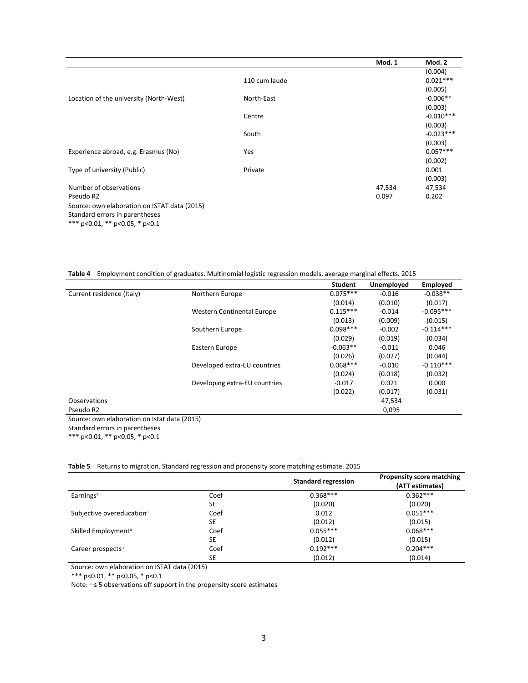|               | Mod. 1 | Mod. 2      |
|---------------|--------|-------------|
|               |        | (0.004)     |
| 110 cum laude |        | $0.021***$  |
|               |        | (0.005)     |
| North-East    |        | $-0.006**$  |
|               |        | (0.003)     |
| Centre        |        | $-0.010***$ |
|               |        | (0.003)     |
| South         |        | $-0.023***$ |
|               |        | (0.003)     |
| Yes           |        | $0.057***$  |
|               |        | (0.002)     |
| Private       |        | 0.001       |
|               |        | (0.003)     |
|               | 47,534 | 47,534      |
|               | 0.097  | 0.202       |
|               |        |             |

Source: own elaboration on ISTAT data (2015) Standard errors in parentheses

\*\*\* p<0.01, \*\* p<0.05, \* p<0.1

|  |  |  |  | Table 4 Employment condition of graduates. Multinomial logistic regression models, average marginal effects. 2015 |
|--|--|--|--|-------------------------------------------------------------------------------------------------------------------|
|--|--|--|--|-------------------------------------------------------------------------------------------------------------------|

|                           |                               | <b>Student</b> | Unemployed | Employed    |
|---------------------------|-------------------------------|----------------|------------|-------------|
| Current residence (Italy) | Northern Europe               | $0.075***$     | $-0.016$   | $-0.038**$  |
|                           |                               | (0.014)        | (0.010)    | (0.017)     |
|                           | Western Continental Europe    | $0.115***$     | $-0.014$   | $-0.095***$ |
|                           |                               | (0.013)        | (0.009)    | (0.015)     |
|                           | Southern Europe               | $0.098***$     | $-0.002$   | $-0.114***$ |
|                           |                               | (0.029)        | (0.019)    | (0.034)     |
|                           | Eastern Europe                | $-0.063**$     | $-0.011$   | 0.046       |
|                           |                               | (0.026)        | (0.027)    | (0.044)     |
|                           | Developed extra-EU countries  | $0.068***$     | $-0.010$   | $-0.110***$ |
|                           |                               | (0.024)        | (0.018)    | (0.032)     |
|                           | Developing extra-EU countries | $-0.017$       | 0.021      | 0.000       |
|                           |                               | (0.022)        | (0.017)    | (0.031)     |
| <b>Observations</b>       |                               |                | 47,534     |             |
| Pseudo R2                 |                               |                | 0,095      |             |
|                           |                               |                |            |             |

Source: own elaboration on Istat data (2015) Standard errors in parentheses

\*\*\* p<0.01, \*\* p<0.05, \* p<0.1

|  |  |  |  | Table 5 Returns to migration. Standard regression and propensity score matching estimate. 2015 |
|--|--|--|--|------------------------------------------------------------------------------------------------|
|--|--|--|--|------------------------------------------------------------------------------------------------|

|                                       |           | <b>Standard regression</b> | <b>Propensity score matching</b><br>(ATT estimates) |
|---------------------------------------|-----------|----------------------------|-----------------------------------------------------|
| Earnings <sup>a</sup>                 | Coef      | $0.368***$                 | $0.362***$                                          |
|                                       | SE        | (0.020)                    | (0.020)                                             |
| Subjective overeducation <sup>a</sup> | Coef      | 0.012                      | $0.051***$                                          |
|                                       | <b>SE</b> | (0.012)                    | (0.015)                                             |
| Skilled Employment <sup>a</sup>       | Coef      | $0.055***$                 | $0.068***$                                          |
|                                       | <b>SE</b> | (0.012)                    | (0.015)                                             |
| Career prospects <sup>a</sup>         | Coef      | $0.192***$                 | $0.204***$                                          |
|                                       | SE        | (0.012)                    | (0.014)                                             |

Source: own elaboration on ISTAT data (2015)

\*\*\* p<0.01, \*\* p<0.05, \* p<0.1

Note: <sup>a</sup> ≤ 5 observations off support in the propensity score estimates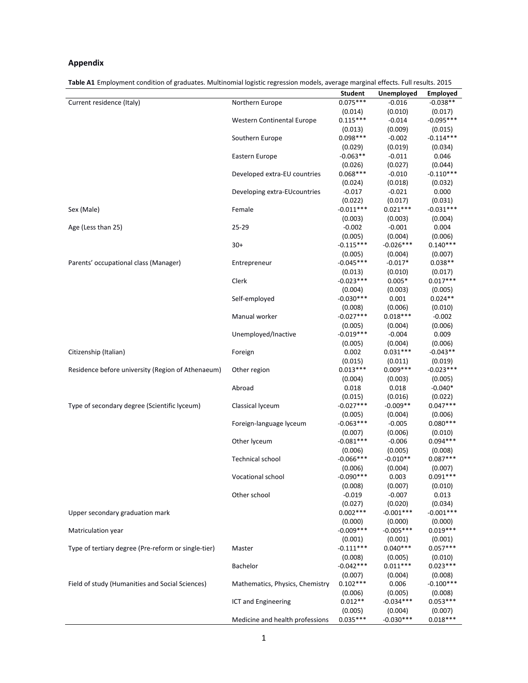# **Appendix**

|                                                     |                                 | <b>Student</b>         | Unemployed             | Employed              |
|-----------------------------------------------------|---------------------------------|------------------------|------------------------|-----------------------|
| Current residence (Italy)                           | Northern Europe                 | $0.075***$             | $-0.016$               | $-0.038**$            |
|                                                     |                                 | (0.014)                | (0.010)                | (0.017)               |
|                                                     | Western Continental Europe      | $0.115***$             | $-0.014$               | $-0.095***$           |
|                                                     |                                 | (0.013)                | (0.009)                | (0.015)               |
|                                                     | Southern Europe                 | $0.098***$             | $-0.002$               | $-0.114***$           |
|                                                     |                                 | (0.029)                | (0.019)                | (0.034)               |
|                                                     | Eastern Europe                  | $-0.063**$             | $-0.011$               | 0.046                 |
|                                                     |                                 | (0.026)                | (0.027)                | (0.044)               |
|                                                     | Developed extra-EU countries    | $0.068***$             | $-0.010$               | $-0.110***$           |
|                                                     |                                 | (0.024)                | (0.018)                | (0.032)               |
|                                                     | Developing extra-EUcountries    | $-0.017$               | $-0.021$               | 0.000                 |
|                                                     |                                 | (0.022)                | (0.017)                | (0.031)               |
| Sex (Male)                                          | Female                          | $-0.011***$            | $0.021***$             | $-0.031***$           |
|                                                     |                                 | (0.003)                | (0.003)                | (0.004)               |
| Age (Less than 25)                                  | 25-29                           | $-0.002$               | $-0.001$               | 0.004                 |
|                                                     |                                 | (0.005)                | (0.004)                | (0.006)               |
|                                                     | $30+$                           | $-0.115***$            | $-0.026***$            | $0.140***$            |
|                                                     |                                 | (0.005)                | (0.004)                | (0.007)               |
| Parents' occupational class (Manager)               | Entrepreneur                    | $-0.045***$            | $-0.017*$              | $0.038**$             |
|                                                     |                                 | (0.013)                | (0.010)                | (0.017)               |
|                                                     | Clerk                           | $-0.023***$            | $0.005*$               | $0.017***$            |
|                                                     |                                 | (0.004)                | (0.003)                | (0.005)               |
|                                                     | Self-employed                   | $-0.030***$            | 0.001                  | $0.024**$             |
|                                                     |                                 | (0.008)                | (0.006)                | (0.010)               |
|                                                     | Manual worker                   | $-0.027***$            | $0.018***$             | $-0.002$              |
|                                                     |                                 | (0.005)                | (0.004)                | (0.006)               |
|                                                     | Unemployed/Inactive             | $-0.019***$            | $-0.004$               | 0.009                 |
|                                                     |                                 | (0.005)                | (0.004)<br>$0.031***$  | (0.006)               |
| Citizenship (Italian)                               | Foreign                         | 0.002                  |                        | $-0.043**$            |
|                                                     |                                 | (0.015)                | (0.011)                | (0.019)               |
| Residence before university (Region of Athenaeum)   | Other region                    | $0.013***$             | $0.009***$             | $-0.023***$           |
|                                                     |                                 | (0.004)                | (0.003)                | (0.005)               |
|                                                     | Abroad                          | 0.018                  | 0.018                  | $-0.040*$             |
|                                                     |                                 | (0.015)<br>$-0.027***$ | (0.016)                | (0.022)<br>$0.047***$ |
| Type of secondary degree (Scientific lyceum)        | Classical lyceum                |                        | $-0.009**$             |                       |
|                                                     |                                 | (0.005)                | (0.004)                | (0.006)               |
|                                                     | Foreign-language lyceum         | $-0.063***$            | $-0.005$               | $0.080***$            |
|                                                     |                                 | (0.007)<br>$-0.081***$ | (0.006)                | (0.010)<br>$0.094***$ |
|                                                     | Other lyceum                    |                        | $-0.006$               |                       |
|                                                     |                                 | (0.006)<br>$-0.066***$ | (0.005)                | (0.008)               |
|                                                     | <b>Technical school</b>         |                        | $-0.010**$             | $0.087***$            |
|                                                     |                                 | (0.006)<br>$-0.090***$ | (0.004)                | (0.007)<br>$0.091***$ |
|                                                     | Vocational school               |                        | 0.003                  |                       |
|                                                     | Other school                    | (0.008)<br>$-0.019$    | (0.007)<br>$-0.007$    | (0.010)<br>0.013      |
|                                                     |                                 | (0.027)                | (0.020)                | (0.034)               |
|                                                     |                                 | $0.002***$             | $-0.001***$            | $-0.001***$           |
| Upper secondary graduation mark                     |                                 |                        |                        |                       |
|                                                     |                                 | (0.000)<br>$-0.009***$ | (0.000)<br>$-0.005***$ | (0.000)<br>$0.019***$ |
| Matriculation year                                  |                                 | (0.001)                | (0.001)                | (0.001)               |
| Type of tertiary degree (Pre-reform or single-tier) |                                 | $-0.111***$            | $0.040***$             | $0.057***$            |
|                                                     | Master                          | (0.008)                | (0.005)                | (0.010)               |
|                                                     | Bachelor                        | $-0.042***$            | $0.011***$             | $0.023***$            |
|                                                     |                                 | (0.007)                | (0.004)                | (0.008)               |
| Field of study (Humanities and Social Sciences)     | Mathematics, Physics, Chemistry | $0.102***$             | 0.006                  | $-0.100***$           |
|                                                     |                                 |                        |                        |                       |
|                                                     |                                 | (0.006)<br>$0.012**$   | (0.005)<br>$-0.034***$ | (0.008)<br>$0.053***$ |
|                                                     | ICT and Engineering             |                        |                        |                       |
|                                                     |                                 | (0.005)<br>$0.035***$  | (0.004)<br>$-0.030***$ | (0.007)<br>$0.018***$ |
|                                                     | Medicine and health professions |                        |                        |                       |

**Table A1** Employment condition of graduates. Multinomial logistic regression models, average marginal effects. Full results. 2015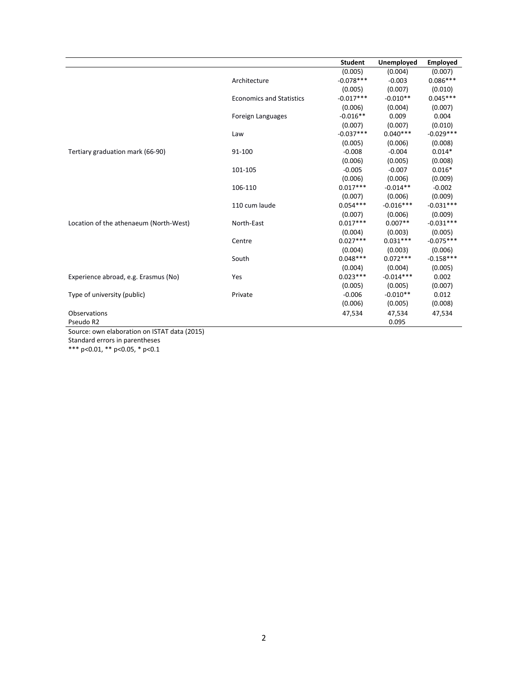|                                              |                                 | <b>Student</b> | Unemployed  | Employed    |
|----------------------------------------------|---------------------------------|----------------|-------------|-------------|
|                                              |                                 | (0.005)        | (0.004)     | (0.007)     |
|                                              | Architecture                    | $-0.078***$    | $-0.003$    | $0.086***$  |
|                                              |                                 | (0.005)        | (0.007)     | (0.010)     |
|                                              | <b>Economics and Statistics</b> | $-0.017***$    | $-0.010**$  | $0.045***$  |
|                                              |                                 | (0.006)        | (0.004)     | (0.007)     |
|                                              | Foreign Languages               | $-0.016**$     | 0.009       | 0.004       |
|                                              |                                 | (0.007)        | (0.007)     | (0.010)     |
|                                              | Law                             | $-0.037***$    | $0.040***$  | $-0.029***$ |
|                                              |                                 | (0.005)        | (0.006)     | (0.008)     |
| Tertiary graduation mark (66-90)             | 91-100                          | $-0.008$       | $-0.004$    | $0.014*$    |
|                                              |                                 | (0.006)        | (0.005)     | (0.008)     |
|                                              | 101-105                         | $-0.005$       | $-0.007$    | $0.016*$    |
|                                              |                                 | (0.006)        | (0.006)     | (0.009)     |
|                                              | 106-110                         | $0.017***$     | $-0.014**$  | $-0.002$    |
|                                              |                                 | (0.007)        | (0.006)     | (0.009)     |
|                                              | 110 cum laude                   | $0.054***$     | $-0.016***$ | $-0.031***$ |
|                                              |                                 | (0.007)        | (0.006)     | (0.009)     |
| Location of the athenaeum (North-West)       | North-East                      | $0.017***$     | $0.007**$   | $-0.031***$ |
|                                              |                                 | (0.004)        | (0.003)     | (0.005)     |
|                                              | Centre                          | $0.027***$     | $0.031***$  | $-0.075***$ |
|                                              |                                 | (0.004)        | (0.003)     | (0.006)     |
|                                              | South                           | $0.048***$     | $0.072***$  | $-0.158***$ |
|                                              |                                 | (0.004)        | (0.004)     | (0.005)     |
| Experience abroad, e.g. Erasmus (No)         | Yes                             | $0.023***$     | $-0.014***$ | 0.002       |
|                                              |                                 | (0.005)        | (0.005)     | (0.007)     |
| Type of university (public)                  | Private                         | $-0.006$       | $-0.010**$  | 0.012       |
|                                              |                                 | (0.006)        | (0.005)     | (0.008)     |
| Observations                                 |                                 | 47,534         | 47,534      | 47,534      |
| Pseudo R2                                    |                                 |                | 0.095       |             |
| Source: own elaboration on ISTAT data (2015) |                                 |                |             |             |

Source: own elaboration on ISTAT data (2015)

Standard errors in parentheses

\*\*\* p<0.01, \*\* p<0.05, \* p<0.1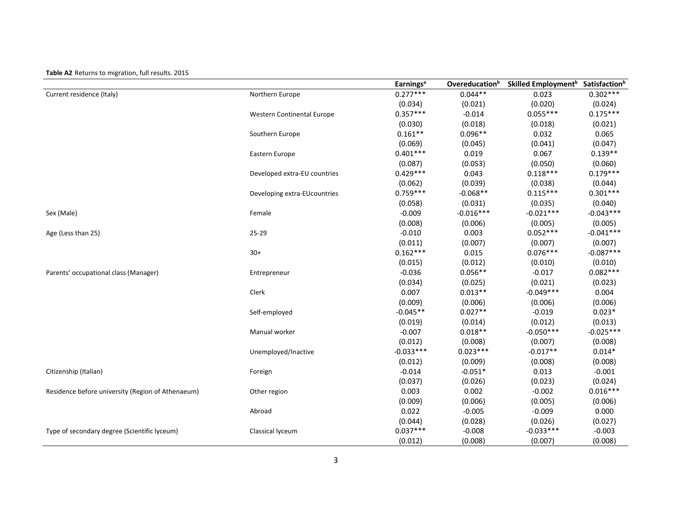#### **Table A2** Returns to migration, full results. 2015

|                                                   |                                   | Earnings <sup>a</sup> | Overeducation <sup>b</sup> | Skilled Employment <sup>b</sup> | <b>Satisfaction</b> b |
|---------------------------------------------------|-----------------------------------|-----------------------|----------------------------|---------------------------------|-----------------------|
| Current residence (Italy)                         | Northern Europe                   | $0.277***$            | $0.044**$                  | 0.023                           | $0.302***$            |
|                                                   |                                   | (0.034)               | (0.021)                    | (0.020)                         | (0.024)               |
|                                                   | <b>Western Continental Europe</b> | $0.357***$            | $-0.014$                   | $0.055***$                      | $0.175***$            |
|                                                   |                                   | (0.030)               | (0.018)                    | (0.018)                         | (0.021)               |
|                                                   | Southern Europe                   | $0.161**$             | $0.096**$                  | 0.032                           | 0.065                 |
|                                                   |                                   | (0.069)               | (0.045)                    | (0.041)                         | (0.047)               |
|                                                   | Eastern Europe                    | $0.401***$            | 0.019                      | 0.067                           | $0.139**$             |
|                                                   |                                   | (0.087)               | (0.053)                    | (0.050)                         | (0.060)               |
|                                                   | Developed extra-EU countries      | $0.429***$            | 0.043                      | $0.118***$                      | $0.179***$            |
|                                                   |                                   | (0.062)               | (0.039)                    | (0.038)                         | (0.044)               |
|                                                   | Developing extra-EUcountries      | $0.759***$            | $-0.068**$                 | $0.115***$                      | $0.301***$            |
|                                                   |                                   | (0.058)               | (0.031)                    | (0.035)                         | (0.040)               |
| Sex (Male)                                        | Female                            | $-0.009$              | $-0.016***$                | $-0.021***$                     | $-0.043***$           |
|                                                   |                                   | (0.008)               | (0.006)                    | (0.005)                         | (0.005)               |
| Age (Less than 25)                                | 25-29                             | $-0.010$              | 0.003                      | $0.052***$                      | $-0.041***$           |
|                                                   |                                   | (0.011)               | (0.007)                    | (0.007)                         | (0.007)               |
|                                                   | $30+$                             | $0.162***$            | 0.015                      | $0.076***$                      | $-0.087***$           |
|                                                   |                                   | (0.015)               | (0.012)                    | (0.010)                         | (0.010)               |
| Parents' occupational class (Manager)             | Entrepreneur                      | $-0.036$              | $0.056**$                  | $-0.017$                        | $0.082***$            |
|                                                   |                                   | (0.034)               | (0.025)                    | (0.021)                         | (0.023)               |
|                                                   | Clerk                             | 0.007                 | $0.013**$                  | $-0.049***$                     | 0.004                 |
|                                                   |                                   | (0.009)               | (0.006)                    | (0.006)                         | (0.006)               |
|                                                   | Self-employed                     | $-0.045**$            | $0.027**$                  | $-0.019$                        | $0.023*$              |
|                                                   |                                   | (0.019)               | (0.014)                    | (0.012)                         | (0.013)               |
|                                                   | Manual worker                     | $-0.007$              | $0.018**$                  | $-0.050***$                     | $-0.025***$           |
|                                                   |                                   | (0.012)               | (0.008)                    | (0.007)                         | (0.008)               |
|                                                   | Unemployed/Inactive               | $-0.033***$           | $0.023***$                 | $-0.017**$                      | $0.014*$              |
|                                                   |                                   | (0.012)               | (0.009)                    | (0.008)                         | (0.008)               |
| Citizenship (Italian)                             | Foreign                           | $-0.014$              | $-0.051*$                  | 0.013                           | $-0.001$              |
|                                                   |                                   | (0.037)               | (0.026)                    | (0.023)                         | (0.024)               |
| Residence before university (Region of Athenaeum) | Other region                      | 0.003                 | 0.002                      | $-0.002$                        | $0.016***$            |
|                                                   |                                   | (0.009)               | (0.006)                    | (0.005)                         | (0.006)               |
|                                                   | Abroad                            | 0.022                 | $-0.005$                   | $-0.009$                        | 0.000                 |
|                                                   |                                   | (0.044)               | (0.028)                    | (0.026)                         | (0.027)               |
| Type of secondary degree (Scientific lyceum)      | Classical lyceum                  | $0.037***$            | $-0.008$                   | $-0.033***$                     | $-0.003$              |
|                                                   |                                   | (0.012)               | (0.008)                    | (0.007)                         | (0.008)               |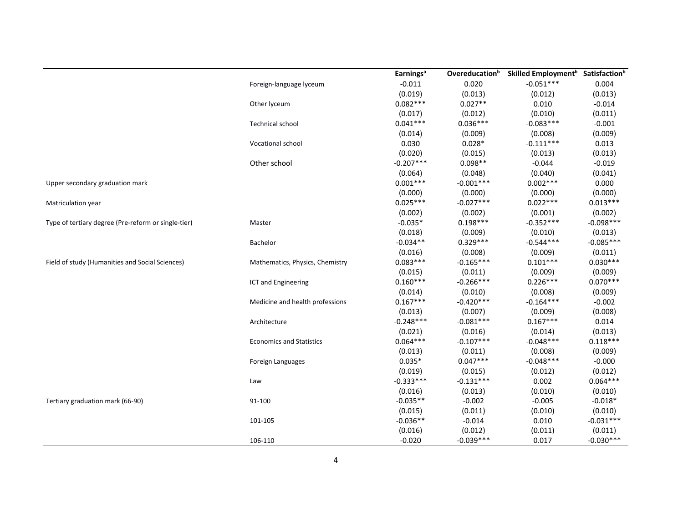|                                                     |                                 | <b>Earnings<sup>a</sup></b> | Overeducation <sup>b</sup> | Skilled Employment <sup>b</sup> Satisfaction <sup>b</sup> |             |
|-----------------------------------------------------|---------------------------------|-----------------------------|----------------------------|-----------------------------------------------------------|-------------|
|                                                     | Foreign-language lyceum         | $-0.011$                    | 0.020                      | $-0.051***$                                               | 0.004       |
|                                                     |                                 | (0.019)                     | (0.013)                    | (0.012)                                                   | (0.013)     |
|                                                     | Other lyceum                    | $0.082***$                  | $0.027**$                  | 0.010                                                     | $-0.014$    |
|                                                     |                                 | (0.017)                     | (0.012)                    | (0.010)                                                   | (0.011)     |
|                                                     | <b>Technical school</b>         | $0.041***$                  | $0.036***$                 | $-0.083***$                                               | $-0.001$    |
|                                                     |                                 | (0.014)                     | (0.009)                    | (0.008)                                                   | (0.009)     |
|                                                     | Vocational school               | 0.030                       | $0.028*$                   | $-0.111***$                                               | 0.013       |
|                                                     |                                 | (0.020)                     | (0.015)                    | (0.013)                                                   | (0.013)     |
|                                                     | Other school                    | $-0.207***$                 | $0.098**$                  | $-0.044$                                                  | $-0.019$    |
|                                                     |                                 | (0.064)                     | (0.048)                    | (0.040)                                                   | (0.041)     |
| Upper secondary graduation mark                     |                                 | $0.001***$                  | $-0.001***$                | $0.002***$                                                | 0.000       |
|                                                     |                                 | (0.000)                     | (0.000)                    | (0.000)                                                   | (0.000)     |
| Matriculation year                                  |                                 | $0.025***$                  | $-0.027***$                | $0.022***$                                                | $0.013***$  |
|                                                     |                                 | (0.002)                     | (0.002)                    | (0.001)                                                   | (0.002)     |
| Type of tertiary degree (Pre-reform or single-tier) | Master                          | $-0.035*$                   | $0.198***$                 | $-0.352***$                                               | $-0.098***$ |
|                                                     |                                 | (0.018)                     | (0.009)                    | (0.010)                                                   | (0.013)     |
|                                                     | Bachelor                        | $-0.034**$                  | $0.329***$                 | $-0.544***$                                               | $-0.085***$ |
|                                                     |                                 | (0.016)                     | (0.008)                    | (0.009)                                                   | (0.011)     |
| Field of study (Humanities and Social Sciences)     | Mathematics, Physics, Chemistry | $0.083***$                  | $-0.165***$                | $0.101***$                                                | $0.030***$  |
|                                                     |                                 | (0.015)                     | (0.011)                    | (0.009)                                                   | (0.009)     |
|                                                     | ICT and Engineering             | $0.160***$                  | $-0.266***$                | $0.226***$                                                | $0.070***$  |
|                                                     |                                 | (0.014)                     | (0.010)                    | (0.008)                                                   | (0.009)     |
|                                                     | Medicine and health professions | $0.167***$                  | $-0.420***$                | $-0.164***$                                               | $-0.002$    |
|                                                     |                                 | (0.013)                     | (0.007)                    | (0.009)                                                   | (0.008)     |
|                                                     | Architecture                    | $-0.248***$                 | $-0.081***$                | $0.167***$                                                | 0.014       |
|                                                     |                                 | (0.021)                     | (0.016)                    | (0.014)                                                   | (0.013)     |
|                                                     | <b>Economics and Statistics</b> | $0.064***$                  | $-0.107***$                | $-0.048***$                                               | $0.118***$  |
|                                                     |                                 | (0.013)                     | (0.011)                    | (0.008)                                                   | (0.009)     |
|                                                     | Foreign Languages               | $0.035*$                    | $0.047***$                 | $-0.048***$                                               | $-0.000$    |
|                                                     |                                 | (0.019)                     | (0.015)                    | (0.012)                                                   | (0.012)     |
|                                                     | Law                             | $-0.333***$                 | $-0.131***$                | 0.002                                                     | $0.064***$  |
|                                                     |                                 | (0.016)                     | (0.013)                    | (0.010)                                                   | (0.010)     |
|                                                     | 91-100                          | $-0.035**$                  | $-0.002$                   | $-0.005$                                                  | $-0.018*$   |
| Tertiary graduation mark (66-90)                    |                                 | (0.015)                     | (0.011)                    | (0.010)                                                   | (0.010)     |
|                                                     | 101-105                         | $-0.036**$                  | $-0.014$                   | 0.010                                                     | $-0.031***$ |
|                                                     |                                 | (0.016)                     | (0.012)                    | (0.011)                                                   | (0.011)     |
|                                                     | 106-110                         | $-0.020$                    | $-0.039***$                | 0.017                                                     | $-0.030***$ |